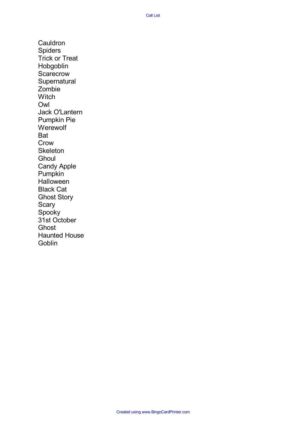**Cauldron** Spiders Trick or Treat Hobgoblin **Scarecrow Supernatural** Zombie **Witch** Owl Jack O'Lantern Pumpkin Pie **Werewolf** Bat Crow **Skeleton Ghoul** Candy Apple Pumpkin **Halloween** Black Cat Ghost Story Scary Spooky 31st October **Ghost** Haunted House **Goblin**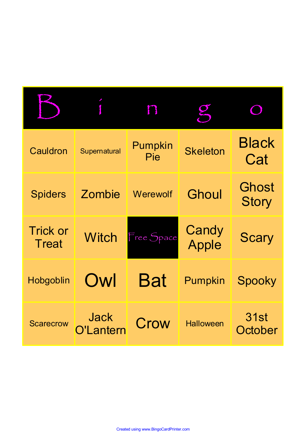| Cauldron                        | Supernatural             | Pumpkin<br>Pie | <b>Skeleton</b>  | <b>Black</b><br>Cat   |
|---------------------------------|--------------------------|----------------|------------------|-----------------------|
| <b>Spiders</b>                  | Zombie                   | Werewolf       | Ghoul            | Ghost<br><b>Story</b> |
| <b>Trick or</b><br><b>Treat</b> | <b>Witch</b>             | Free Space     | Candy<br>Apple   | <b>Scary</b>          |
| Hobgoblin                       | Owl                      | <b>Bat</b>     | Pumpkin          | Spooky                |
| <b>Scarecrow</b>                | <b>Jack</b><br>O'Lantern | Crow           | <b>Halloween</b> | 31st<br>October       |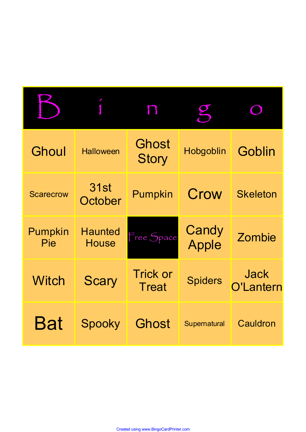| Ghoul            | <b>Halloween</b>               | <b>Ghost</b><br><b>Story</b>    | Hobgoblin      | Goblin                   |
|------------------|--------------------------------|---------------------------------|----------------|--------------------------|
| <b>Scarecrow</b> | <b>31st</b><br>October         | Pumpkin                         | Crow           | <b>Skeleton</b>          |
| Pumpkin<br>Pie   | <b>Haunted</b><br><b>House</b> | Free Space                      | Candy<br>Apple | Zombie                   |
| <b>Witch</b>     | <b>Scary</b>                   | <b>Trick or</b><br><b>Treat</b> | <b>Spiders</b> | <b>Jack</b><br>O'Lantern |
| Bat              | Spooky                         | <b>Ghost</b>                    | Supernatural   | Cauldron                 |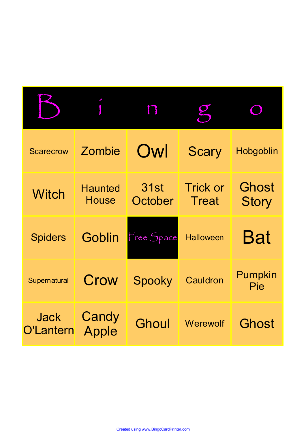| <b>Scarecrow</b>         | Zombie                  | Owl             | <b>Scary</b>                    | Hobgoblin             |
|--------------------------|-------------------------|-----------------|---------------------------------|-----------------------|
| <b>Witch</b>             | <b>Haunted</b><br>House | 31st<br>October | <b>Trick or</b><br><b>Treat</b> | Ghost<br><b>Story</b> |
| <b>Spiders</b>           | <b>Goblin</b>           | Free Space      | <b>Halloween</b>                | Bat                   |
| Supernatural             | Crow                    | Spooky          | Cauldron                        | Pumpkin<br>Pie        |
| <b>Jack</b><br>O'Lantern | Candy<br>Apple          | Ghoul           | Werewolf                        | <b>Ghost</b>          |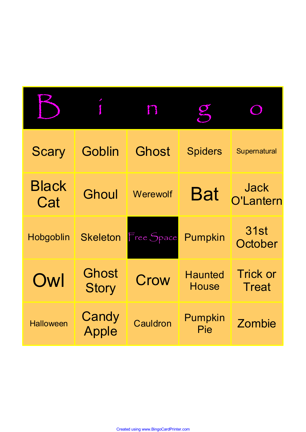| <b>Scary</b>        | Goblin                | <b>Ghost</b> | <b>Spiders</b>                 | Supernatural                    |
|---------------------|-----------------------|--------------|--------------------------------|---------------------------------|
| <b>Black</b><br>Cat | <b>Ghoul</b>          | Werewolf     | <b>Bat</b>                     | Jack<br><b>O'Lantern</b>        |
| Hobgoblin           | <b>Skeleton</b>       | Free Space   | Pumpkin                        | 31st<br>October                 |
| Owl                 | Ghost<br><b>Story</b> | Crow         | <b>Haunted</b><br><b>House</b> | <b>Trick or</b><br><b>Treat</b> |
| <b>Halloween</b>    | Candy<br>Apple        | Cauldron     | Pumpkin<br>Pie                 | Zombie                          |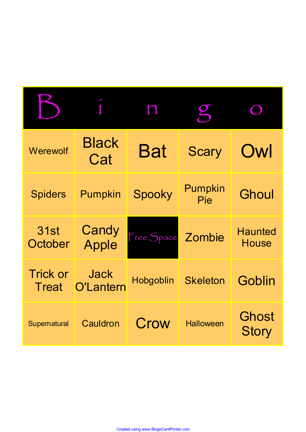| Werewolf                 | <b>Black</b><br>Cat      | <b>Bat</b>         | <b>Scary</b>     | Owl                            |
|--------------------------|--------------------------|--------------------|------------------|--------------------------------|
| <b>Spiders</b>           | Pumpkin                  | Spooky             | Pumpkin<br>Pie   | Ghoul                          |
| <b>31st</b><br>October   | Candy<br>Apple           | Free Space Zombie  |                  | <b>Haunted</b><br><b>House</b> |
| <b>Trick or</b><br>Treat | <b>Jack</b><br>O'Lantern | Hobgoblin Skeleton |                  | Goblin                         |
| Supernatural             | Cauldron                 | Crow               | <b>Halloween</b> | Ghost<br><b>Story</b>          |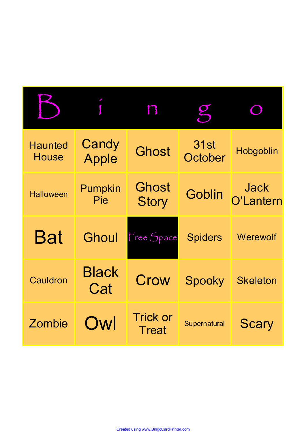| <b>Haunted</b><br><b>House</b> | Candy<br>Apple      | <b>Ghost</b>                 | 31st<br>October | Hobgoblin         |
|--------------------------------|---------------------|------------------------------|-----------------|-------------------|
| <b>Halloween</b>               | Pumpkin<br>Pie      | <b>Ghost</b><br><b>Story</b> | Goblin          | Jack<br>O'Lantern |
| Bat                            | Ghoul               | Free Space                   | <b>Spiders</b>  | Werewolf          |
| Cauldron                       | <b>Black</b><br>Cat | Crow                         | Spooky          | <b>Skeleton</b>   |
| Zombie                         | Owl                 | <b>Trick or</b><br>Treat     | Supernatural    | <b>Scary</b>      |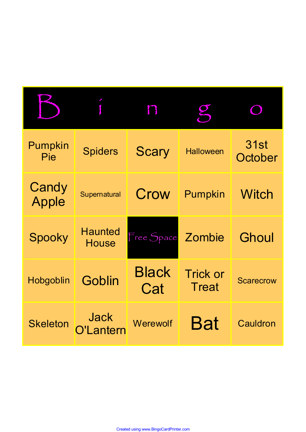| Pumpkin<br>Pie        | <b>Spiders</b>                 | <b>Scary</b>        | <b>Halloween</b>                | <b>31st</b><br>October |
|-----------------------|--------------------------------|---------------------|---------------------------------|------------------------|
| Candy<br><b>Apple</b> | Supernatural                   | Crow                | Pumpkin                         | <b>Witch</b>           |
| Spooky                | <b>Haunted</b><br><b>House</b> | Free Space Zombie   |                                 | Ghoul                  |
| Hobgoblin             | Goblin                         | <b>Black</b><br>Cat | <b>Trick or</b><br><b>Treat</b> | <b>Scarecrow</b>       |
| <b>Skeleton</b>       | <b>Jack</b><br>l antern        | Werewolf            | Bat                             | Cauldron               |